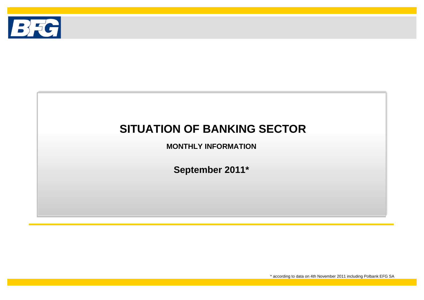

# **SITUATION OF BANKING SECTOR**

**MONTHLY INFORMATION**

**September 2011\***

\* according to data on 4th November 2011 including Polbank EFG SA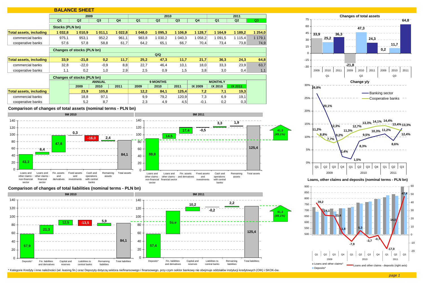



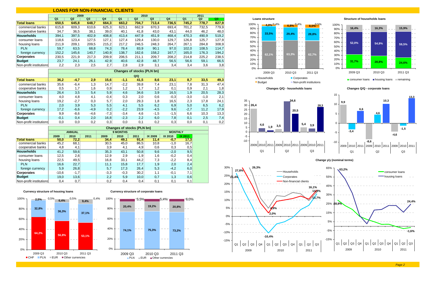#### **LOANS FOR NON-FINANCIAL CLIENTS**

|                         |                | 2009  |       |                |       | 2010  |                |                |                | 2011  |                |                        |                      |
|-------------------------|----------------|-------|-------|----------------|-------|-------|----------------|----------------|----------------|-------|----------------|------------------------|----------------------|
|                         | Q <sub>1</sub> | Q2    | Q3    | Q <sub>4</sub> | Q1    | Q2    | Q <sub>3</sub> | Q <sub>4</sub> | Q <sub>1</sub> | Q2    | Q <sub>3</sub> | <b>Loans structure</b> |                      |
| <b>Total loans</b>      | 650,5          | 645.8 | 648.7 | 664.3          | 663.2 | 704.7 | 713.4          | 736,5          | 745.2          | 778.7 | 827,9          | 100% 1                 | $4.0\%$ <sup>0</sup> |
| commercial banks        | 615,8          | 609.3 | 610,6 | 625,3          | 623.1 | 662,9 | 670.3          | 693.4          | 701.2          | 732,5 | 779,9          | $90% -$                |                      |
| cooperative banks       | 34,7           | 36,5  | 38,1  | 39,0           | 40.1  | 41,8  | 43,0           | 43,1           | 44.0           | 46,2  | 48,0           | $80%$ +                |                      |
| <b>Households</b>       | 394.1          | 397.5 | 402.9 | 408,8          | 413.4 | 447.9 | 451.9          | 468.4          | 470.3          | 490.9 | 519.2          | $70%$ +                | 33.5%                |
| consumer loans          | 118,6          | 123,4 | 127,5 | 127,1          | 127,4 | 129,4 | 130,0          | 129,7          | 126,8          | 125,7 | 127,9          | $60%$ +                |                      |
| housing loans           | 211,9          | 209.1 | 209,5 | 215.2          | 217.2 | 246,5 | 248,3          | 264.7          | 267.1          | 284.8 | 308,9          |                        |                      |
| <b>PLN</b>              | 59.7           | 63.5  | 68,8  | 74.3           | 78.4  | 83.9  | 90.1           | 97.0           | 102.0          | 108.5 | 114.7          | $50% +$                |                      |
| foreign currency        | 152.2          | 145.6 | 140.7 | 140.9          | 138.7 | 162.6 | 158.2          | 167,7          | 165.0          | 176.3 | 194,2          | $40\% +$               |                      |
| Corporates              | 230.5          | 221.9 | 217.3 | 209.9          | 206.5 | 211.1 | 209.7          | 208.2          | 214.8          | 225.2 | 238,5          | $30%$ +                | 62,1%                |
| <b>Budget</b>           | 23,7           | 24.1  | 26.1  | 42.9           | 40.6  | 42.8  | 48.7           | 56,5           | 56.6           | 59,1  | 66,5           | $20%$ +                |                      |
| Non-profit institutions | 2,2            | 2,3   | 2,5   | 2.7            | 2,8   | 2,9   | 3,1            | 3,4            | 3,4            | 3,6   | 3,8            | $10% +$                |                      |

|                         |        | Changes of stocks (PLN bn)<br>Q/Q<br>15.6<br>23,1<br>41.5<br>33.5<br>49,3<br>$-4.7$<br>2,9<br>8,6<br>8,7<br>$-1.1$<br>23,1<br>47.4<br>14.7<br>39.8<br>7,8<br>31,3<br>1,3<br>$-6,4$<br>$-2,2$<br>7,4 |        |        |        |      |        |        |        |        |      |  |  |  |  |
|-------------------------|--------|-----------------------------------------------------------------------------------------------------------------------------------------------------------------------------------------------------|--------|--------|--------|------|--------|--------|--------|--------|------|--|--|--|--|
|                         |        |                                                                                                                                                                                                     |        |        |        |      |        |        |        |        |      |  |  |  |  |
| <b>Total loans</b>      | 36.2   |                                                                                                                                                                                                     |        |        |        |      |        |        |        |        |      |  |  |  |  |
| commercial banks        | 35.6   |                                                                                                                                                                                                     |        |        |        |      |        |        |        |        |      |  |  |  |  |
| cooperative banks       | 0,5    | 1,7                                                                                                                                                                                                 | 1,6    | 0,9    | 1,2    | 1.7  | 1,2    | 0,1    | 0,9    | 2,1    | 1,8  |  |  |  |  |
| <b>Households</b>       | 26,4   | 3,5                                                                                                                                                                                                 | 5,4    | 5,9    | 4,6    | 34,6 | 3,9    | 16,5   | 1,9    | 20,5   | 28,3 |  |  |  |  |
| consumer loans          | 4,0    | 4,8                                                                                                                                                                                                 | 4,1    | $-0,4$ | 0,3    | 2,0  | 0,6    | $-0,3$ | $-3,0$ | $-1,0$ | 2,1  |  |  |  |  |
| housing loans           | 19,2   | $-2,7$                                                                                                                                                                                              | 0,3    | 5,7    | 2,0    | 29,3 | 1,8    | 16,5   | 2,3    | 17,8   | 24,1 |  |  |  |  |
| <b>PLN</b>              | 2,0    | 3,9                                                                                                                                                                                                 | 5,3    | 5,5    | 4,1    | 5,5  | 6,2    | 6,9    | 5,0    | 6,5    | 6,2  |  |  |  |  |
| foreign currency        | 17,2   | $-6,6$                                                                                                                                                                                              | $-4,9$ | 0,2    | $-2,2$ | 23,9 | $-4,5$ | 9,6    | $-2,7$ | 11,2   | 17,9 |  |  |  |  |
| Corporates              | 9,9    | $-8,6$                                                                                                                                                                                              | $-4,6$ | $-7,3$ | $-3,4$ | 4,6  | $-1,5$ | $-1,5$ | 6,6    | 10,3   | 13,3 |  |  |  |  |
| <b>Budget</b>           | $-0,1$ | 0,4                                                                                                                                                                                                 | 2,0    | 16,8   | $-2,3$ | 2,2  | 6,0    | 7,8    | 0,1    | 2,5    | 7,4  |  |  |  |  |
| Non-profit institutions | 0,0    | 0,0                                                                                                                                                                                                 | 0,2    | 0,3    | 0,0    | 0,1  | 0,2    | 0,3    | 0,0    | 0,1    | 0,2  |  |  |  |  |

|                         |         | <b>Changes of stocks (PLN bn)</b><br><b>9 MONTHS</b><br><b>ANNUAL</b><br><b>MONTHLY</b><br>2011<br>2011<br>IX 2009<br>2010<br>2009<br>2010<br>IX 2010<br>IX 2011<br>91,4<br>17,3<br>49,1<br>50,0<br>72,2<br>34.4<br>11,4<br>$-0,7$<br>16,7<br>45,2<br>68,1<br>86,5<br>10,8<br>30,5<br>45,0<br>$-1,0$<br>3,9<br>4,8<br>4,1<br>4,9<br>0,5<br>0,6<br>0,3<br>4,1 |  |        |        |        |     |        |     |  |  |  |  |
|-------------------------|---------|--------------------------------------------------------------------------------------------------------------------------------------------------------------------------------------------------------------------------------------------------------------------------------------------------------------------------------------------------------------|--|--------|--------|--------|-----|--------|-----|--|--|--|--|
|                         |         |                                                                                                                                                                                                                                                                                                                                                              |  |        |        |        |     |        |     |  |  |  |  |
|                         | 2009    |                                                                                                                                                                                                                                                                                                                                                              |  |        |        |        |     |        |     |  |  |  |  |
| <b>Total loans</b>      |         |                                                                                                                                                                                                                                                                                                                                                              |  |        |        |        |     |        |     |  |  |  |  |
| commercial banks        |         |                                                                                                                                                                                                                                                                                                                                                              |  |        |        |        |     |        |     |  |  |  |  |
| cooperative banks       |         |                                                                                                                                                                                                                                                                                                                                                              |  |        |        |        |     |        |     |  |  |  |  |
| <b>Households</b>       | 41,2    | 59,6                                                                                                                                                                                                                                                                                                                                                         |  | 35,3   | 43,1   | 50,8   | 9,6 | $-2,0$ | 9,5 |  |  |  |  |
| consumer loans          | 12,5    | 2,6                                                                                                                                                                                                                                                                                                                                                          |  | 12,9   | 2,9    | $-1,9$ | 1,6 | $-0,2$ | 0,4 |  |  |  |  |
| housing loans           | 22,5    | 49,5                                                                                                                                                                                                                                                                                                                                                         |  | 16,8   | 33,1   | 44,2   | 7,3 | $-2,2$ | 8,4 |  |  |  |  |
| <b>PLN</b>              | 16,6    | 22,7                                                                                                                                                                                                                                                                                                                                                         |  | 11,1   | 15,8   | 17,7   | 1,9 | 2,0    | 2,4 |  |  |  |  |
| foreign currency        | 5,9     | 26,8                                                                                                                                                                                                                                                                                                                                                         |  | 5,7    | 17,3   | 26,4   | 5,3 | $-4,2$ | 6,0 |  |  |  |  |
| Corporates              | $-10,6$ | $-1,7$                                                                                                                                                                                                                                                                                                                                                       |  | $-3,3$ | $-0,3$ | 30,2   | 1,1 | $-0,1$ | 7,1 |  |  |  |  |
| <b>Budget</b>           | 19,0    | 13,6                                                                                                                                                                                                                                                                                                                                                         |  | 2,2    | 5,9    | 10,0   | 0,7 | 1,3    | 0,6 |  |  |  |  |
| Non-profit institutions | 0,4     | 0,7                                                                                                                                                                                                                                                                                                                                                          |  | 0,2    | 0,4    | 0,4    | 0,1 | 0,1    | 0,1 |  |  |  |  |

**Currency structure of housing loans Currency structure of corporate loans**

 $-6,0%$ 









consumer loans **housing loans** remaining

**Changes Q/Q - households loans Changes Q/Q - corporate loans**



**10,3-4,6-1,5-8,6** 2009 2010 2011 2009 2010 2011 2009 2010 2011**9,96,6-3,44,613,3**-10-5510Q1 Q2 Q3

**Change y/y (nominal terms)**



Page 2

consumer loanshousing loans

**-1,6%**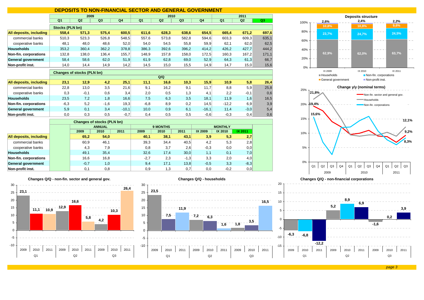# **DEPOSITS TO NON-FINANCIAL SECTOR AND GENERAL GOVERNMENT**

|                         |                 | 2009  |                |                |                | 2010  |                |                | 2011           |       |                |  |
|-------------------------|-----------------|-------|----------------|----------------|----------------|-------|----------------|----------------|----------------|-------|----------------|--|
|                         | Q <sub>1</sub>  | Q2    | Q <sub>3</sub> | Q <sub>4</sub> | Q <sub>1</sub> | Q2    | Q <sub>3</sub> | Q <sub>4</sub> | Q <sub>1</sub> | Q2    | Q <sub>3</sub> |  |
|                         | Stocks (PLN bn) |       |                |                |                |       |                |                |                |       |                |  |
| All deposits, including | 558,4           | 571,3 | 575,4          | 600,5          | 611,6          | 628,3 | 638,6          | 654.5          | 665.4          | 671,2 | 697,6          |  |
| commercial banks        | 510,3           | 523,3 | 526,8          | 548,5          | 557,6          | 573,8 | 582,8          | 594,6          | 603,3          | 609,3 | 635,1          |  |
| cooperative banks       | 48,1            | 48,0  | 48,6           | 52,0           | 54,0           | 54,5  | 55,8           | 59,9           | 62,1           | 62,0  | 62,5           |  |
| <b>Households</b>       | 353,2           | 360,4 | 362,2          | 378,8          | 386,3          | 392,6 | 396,2          | 414.2          | 426.2          | 427,7 | 444,2          |  |
| Non-fin. corporations   | 132,8           | 138,0 | 136,4          | 155,7          | 148,9          | 157,8 | 158,0          | 172,5          | 160.3          | 167,2 | 171,1          |  |
| General government      | 58,4            | 58,6  | 62,0           | 51,9           | 61,9           | 62,8  | 69,0           | 52,9           | 64,3           | 61,3  | 66,7           |  |
| Non-profit inst.        | 14,0            | 14,4  | 14,9           | 14,2           | 14,5           | 15,0  | 15,5           | 14,9           | 14,7           | 15,0  | 15,6           |  |

#### **Changes of stocks (PLN bn)**

|                         |        |        |        |         |        | Q/Q  |      |                   |         |        |      |
|-------------------------|--------|--------|--------|---------|--------|------|------|-------------------|---------|--------|------|
| All deposits, including | 23,1   | 12.9   | 4,2    | 25,1    | 11.1   | 16,6 | 10,3 | 15.9              | 10,9    | 5,8    | 26,4 |
| commercial banks        | 22,8   | 13,0   | 3,5    | 21,6    | 9,1    | 16,2 | 9,1  | 11.7 <sub>1</sub> | 8,8     | 5,9    | 25,8 |
| cooperative banks       | 0,3    | $-0,1$ | 0,6    | 3,4     | 2.0    | 0.5  | 1,3  | 4.1               | 2.2     | $-0,1$ | 0,6  |
| <b>Households</b>       | 23,5   | 7,2    | 1,8    | 16,6    | 7,5    | 6,3  | 3,5  | 18,1              | 11.9    | 1,6    | 16,5 |
| Non-fin. corporations   | $-6,3$ | 5,2    | $-1,6$ | 19,3    | $-6,8$ | 8,9  | 0,2  | 14.5              | $-12.2$ | 6,9    | 3,9  |
| General government      | 5,9    | 0,1    | 3,4    | $-10.1$ | 10,0   | 0,9  | 6,1  | $-16.1$           | 11.4    | $-3,0$ | 5,4  |
| Non-profit inst.        | 0,0    | 0.3    | 0,5    | $-0.7$  | 0.4    | 0.5  | 0,5  | $-0.6$            | $-0,3$  | 0,4    | 0,6  |

|                         |        | <b>Changes of stocks (PLN bn)</b> |      |        |                 |        |         |                |         |
|-------------------------|--------|-----------------------------------|------|--------|-----------------|--------|---------|----------------|---------|
|                         |        | <b>ANNUAL</b>                     |      |        | <b>9 MONTHS</b> |        |         | <b>MONTHLY</b> |         |
|                         | 2009   | 2010                              | 2011 | 2009   | 2010            | 2011   | IX 2009 | IX 2010        | IX 2011 |
| All deposits, including | 65,2   | 54,0                              |      | 40,1   | 38,1            | 43,1   | 3,9     | 5,3            | 2,7     |
| commercial banks        | 60,9   | 46,1                              |      | 39,3   | 34,4            | 40.5   | 4,2     | 5,3            | 2,8     |
| cooperative banks       | 4,3    | 7,9                               |      | 0,8    | 3,7             | 2,6    | $-0.3$  | 0,0            | 0,0     |
| <b>Households</b>       | 49,1   | 35,4                              |      | 32,6   | 17.4            | 30,0   | 1,1     | 0,1            | 7,0     |
| Non-fin. corporations   | 16,6   | 16,8                              |      | $-2,7$ | 2.3             | $-1,3$ | 3,3     | 2.0            | 4,0     |
| General government      | $-0.7$ | 1,0                               |      | 9,4    | 17,1            | 13,8   | $-0.5$  | 3,3            | $-8,3$  |
| Non-profit inst.        | 0,1    | 0,8                               |      | 0,9    | 1,3             | 0,7    | 0,0     | $-0,2$         | 0,0     |

#### **Changes Q/Q - non-fin. sector and general gov.**



**Changes Q/Q - households**





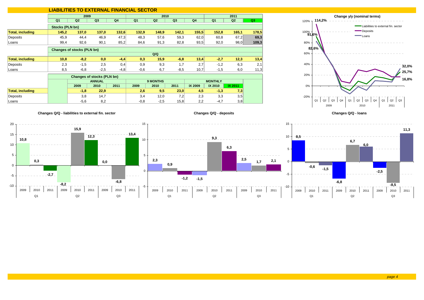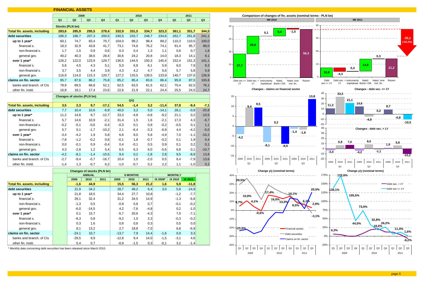#### **FINANCIAL ASSETS**

|                                     |                | 2009                              |                                   |                |                | 2010             |                |                |                           | 2011           |                |
|-------------------------------------|----------------|-----------------------------------|-----------------------------------|----------------|----------------|------------------|----------------|----------------|---------------------------|----------------|----------------|
|                                     | Q <sub>1</sub> | Q <sub>2</sub>                    | Q <sub>3</sub>                    | Q <sub>4</sub> | Q <sub>1</sub> | Q2               | Q <sub>3</sub> | Q <sub>4</sub> | Q <sub>1</sub>            | Q <sub>2</sub> | Q <sub>3</sub> |
|                                     |                | <b>Stocks (PLN bn)</b>            |                                   |                |                |                  |                |                |                           |                |                |
| <b>Total fin. assets, including</b> | 283,6          | 285,9                             | 295,5                             | 278,4          | 332,9          | 331,5            | 334,7          | 323,3          | 361,1                     | 351,7          | 344,5          |
| debt securities                     | 186,3          | 196,7                             | 207,3                             | 200,5          | 240,5          | 243,7            | 248,7          | 234,6          | 262,7                     | 261,8          | 241,1          |
| up to 1 year*                       | 60,1           | 74,7                              | 83,4                              | 70,7           | 104,0          | 99,2             | 98,4           | 89,2           | 110,3                     | 110,5          | 100,0          |
| financial s.                        | 18,3           | 32,9                              | 43,8                              | 41,7           | 73,1           | 74,6             | 76,2           | 74,1           | 91,4                      | 95,7           | 89,0           |
| non-financial s.                    | 1,7            | 1,5                               | 0,9                               | 0,6            | 0,3            | 0,4              | 1,3            | 1,1            | 0,6                       | 0,7            | 1,8            |
| general gov.                        | 40,2           | 40,3                              | 38,6                              | 28,4           | 30,6           | 24,2             | 20,8           | 14,0           | 18,3                      | 14,1           | 9,1            |
| over 1 year*                        | 126,2          | 122,0                             | 123,9                             | 129,7          | 136,5          | 144,5            | 150,3          | 145,4          | 152,4                     | 151,3          | 141,1          |
| financial s.                        | 5,6            | 4,5                               | 4,3                               | 5,1            | 5,0            | 6,8              | 6,1            | 5,9            | 6,0                       | 7,9            | 8,3            |
| non-financial s.                    | 3,7            | 3,5                               | 4,4                               | 3,9            | 4,3            | 4,2              | 4,7            | 5,6            | 5,7                       | 5,8            | 5,9            |
| general gov.                        | 116,9          | 114,0                             | 115,3                             | 120,7          | 127,2          | 133,5            | 139,5          | 133,9          | 140,7                     | 137,6          | 126,9          |
| claims on fin. sector               | 95,7           | 87,6                              | 86,2                              | 75,8           | 85,2           | 85,4             | 83,6           | 86,4           | 95,9                      | 87,0           | 100,8          |
| banks and branch, of CIs            | 78,9           | 69,5                              | 68,8                              | 52,1           | 62,5           | 63,5             | 61,5           | 62,1           | 70,4                      | 62,5           | 76,1           |
| other fin. instit.                  | 16,8           | 18,1                              | 17,4                              | 23,6           | 22,6           | 21,9             | 22,1           | 24,4           | 25,5                      | 24,5           | 24,7           |
|                                     |                | <b>Changes of stocks (PLN bn)</b> |                                   |                |                |                  |                |                |                           |                |                |
|                                     |                |                                   |                                   |                |                | Q/Q              |                |                |                           |                |                |
| <b>Total fin. assets, including</b> | 3,5            | 2,3                               | 9,7                               | $-17,1$        | 54,5           | $-1,4$           | 3,2            | $-11,4$        | 37,8                      | $-9,4$         | $-7,1$         |
| debt securities                     | 7,7            | 10,4                              | 10,6                              | $-6,9$         | 40,0           | 3,2              | 5,0            | $-14,1$        | 28,1                      | $-0,9$         | $-20,8$        |
| up to 1 year*                       | 11,2           | 14,6                              | 8.7                               | $-12,7$        | 33,3           | $-4,8$           | $-0,8$         | $-9,2$         | 21,1                      | 0,2            | $-10,5$        |
| financial s.                        | 5,7            | 14,6                              | 10,9                              | $-2,1$         | 31,4           | 1,5              | 1,6            | $-2,1$         | 17,3                      | 4,3            | $-6,7$         |
| non-financial s.                    | $-0,2$         | $-0,1$                            | $-0,6$                            | $-0,4$         | $-0,3$         | 0,1              | 0,9            | $-0,2$         | $-0.5$                    | 0,1            | 1,1            |
| general gov.                        | 5.7            | 0,1                               | $-1.7$                            | $-10,2$        | 2,1            | $-6.4$           | $-3,3$         | $-6,9$         | 4.4                       | $-4,2$         | $-5,0$         |
| over 1 year*                        | $-3,4$         | $-4,2$                            | 1,9                               | 5,8            | 6,8            | 8,0              | 5,8            | $-4,9$         | 7,0                       | $-1,1$         | $-10,2$        |
| financial s.                        | $-7,8$         | $-1,2$                            | $-0,2$                            | 0,8            | $-0,1$         | 1,8              | $-0,7$         | $-0,2$         | 0,1                       | 1,9            | 0,4            |
| non-financial s.                    | 0,0            | $-0,1$                            | 0,9                               | $-0,4$         | 0,4            | $-0,1$           | 0,5            | 0,9            | 0,1                       | 0,2            | 0,1            |
| general gov.                        | 4,3            | $-2,8$                            | 1,2                               | 5,4            | 6,5            | 6,3              | 6,0            | $-5,6$         | 6,8                       | $-3,1$         | $-10,7$        |
| claims on fin. sector               | $-4,2$         | $-8,1$                            | $-1,4$                            | $-10,5$        | 9,4            | 0,2              | $-1,8$         | 2,8            | 9,5                       | $-8,9$         | 13,8           |
| banks and branch, of CIs            | $-2,7$         | $-9,4$                            | $-0,7$                            | $-16,7$        | 10,4           | 1,0              | $-2,0$         | 0,5            | 8,4                       | $-7,9$         | 13,6           |
| other fin. instit.                  | $-1,4$         | 1,3                               | $-0,7$                            | 6,2            | $-1,0$         | $-0,7$           | 0,2            | 2,2            | 1,1                       | $-1,0$         | 0,2            |
|                                     |                |                                   | <b>Changes of stocks (PLN bn)</b> |                |                |                  |                |                |                           |                |                |
|                                     |                | 2009                              | <b>ANNUAL</b><br>2010             | 2011           | 2009           | 9 MONTHS<br>2010 | 2011           | IX 2009*       | <b>MONTHLY</b><br>IX 2010 | IX 2011        |                |
| <b>Total fin. assets, including</b> |                | $-1,6$                            | 44,9                              |                | 15,5           | 56,3             | 21,2           | 1,6            | 5,9                       | $-11,8$        |                |
| debt securities                     |                | 21,9                              | 34,2                              |                | 28,7           | 48,2             | 6,4            | 3,0            | 5,8                       | $-14,9$        |                |
| up to 1 year*                       |                | 21,8                              | 18,5                              |                | 34,4           | 27,7             | 10,8           |                | $-1,2$                    | $-7,7$         |                |
| financial s.                        |                | 29,1                              | 32,4                              |                | 31,2           | 34,5             | 14,9           |                | $-1,3$                    | $-6,6$         |                |
| non-financial s.                    |                | $-1,3$                            | 0,5                               |                | $-0.9$         | 0,8              | 0,7            |                | $-0,1$                    | $-0,2$         |                |
| general gov.                        |                | $-6,0$                            | $-14,5$                           |                | 4,2            | $-7,6$           | $-4,8$         |                | 0,2                       | $-1,0$         |                |
| over 1 year*                        |                | 0,1                               | 15,7                              |                | $-5,7$         | 20,6             | $-4,3$         |                | 7,0                       | $-7,1$         |                |
| financial s.                        |                | $-8,3$                            | 0,8                               |                | $-9,2$         | 1,0              | 2,3            |                | $-0,3$                    | $-0,2$         |                |
| non-financial s.                    |                | 0,3                               | 1,6                               |                | 0,8            | 0,8              | 0,3            |                | 0,5                       | 0,0            |                |
| general gov.                        |                | 8,1                               | 13,2                              |                | 2,7            | 18,8             | $-7,0$         |                | 6,8                       | $-6,9$         |                |
| claims on fin. sector               |                | $-24,1$                           | 10,7                              |                | $-13,7$        | 7,9              | 14,4           | $-1,6$         | 0,0                       | 3,3            |                |
| banks and branch, of CIs            |                | $-29.5$                           | 9.9                               |                | $-12,8$        | 9.4              | 14.0           | $-1.5$         | $-3.1$                    | 4,6            |                |

other fin. instit. 5,4 0,7 -0,9 -1,5 0,3 -0,1 3,2 -1,4

\* Monthly data concerning debt securities has been released since March 2010.

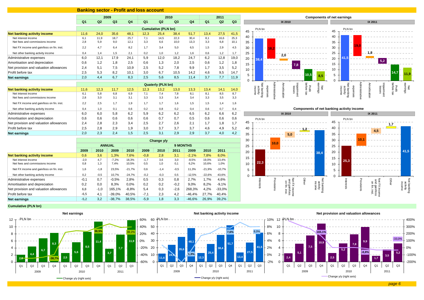### **Banking sector - Profit and loss account**

|                                           | 2009           |                |                |                |                |                            | 2010           |                | 2011           |                |                |
|-------------------------------------------|----------------|----------------|----------------|----------------|----------------|----------------------------|----------------|----------------|----------------|----------------|----------------|
|                                           | Q <sub>1</sub> | Q <sub>2</sub> | Q <sub>3</sub> | Q <sub>4</sub> | Q <sub>1</sub> | Q <sub>2</sub>             | Q <sub>3</sub> | Q <sub>4</sub> | Q <sub>1</sub> | Q <sub>2</sub> | Q <sub>3</sub> |
|                                           |                |                |                |                |                | <b>Cumulative (PLN bn)</b> |                |                |                |                |                |
| Net banking activity income               | 11,6           | 24,0           | 35.6           | 48,1           | 12,3           | 25,4                       | 38,4           | 51.7           | 13.4           | 27,5           | 41,5           |
| Net interest income                       | 6,1            | 11.9           | 18.7           | 25.7           | 7.1            | 14.5                       | 22,3           | 30.4           | 8.1            | 16.6           | 25,3           |
| Net fees and commissions income           | 2,8            | 5,9            | 9,0            | 12.1           | 3,3            | 6.6                        | 10,0           | 13.3           | 3,3            | 6.8            | 10,1           |
| Net FX income and gain/loss on fin. inst. | 2,2            | 4,7            | 6,4            | 8.2            | 1,7            | 3.4                        | 5,0            | 6.5            | 1,5            | 2.9            | 4.5            |
| Net other banking activity income         | 0.4            | 1.4            | 1,5            | 2,1            | 0.2            | 1.0                        | 1,2            | 1.6            | 0.6            | 1,2            | 1,7            |
| Administrative expenses                   | 6,0            | 12.1           | 17,9           | 24,1           | 5,9            | 12,0                       | 18,2           | 24.7           | 6,2            | 12,8           | 19,0           |
| Amortisation and depreciation             | 0,6            | 1,2            | 1,8            | 2,5            | 0,6            | 1,3                        | 2,0            | 2.5            | 0,6            | 1,2            | 1,8            |
| Net provision and valuation allowances    | 2,4            | 5.1            | 7,5            | 10.9           | 2,5            | 5,2                        | 7,8            | 9.9            | 1.7            | 3,5            | 5,2            |
| Profit before tax                         | 2,5            | 5,3            | 8,2            | 10,1           | 3,0            | 6.7                        | 10,5           | 14,2           | 4,6            | 9,5            | 14,7           |
| <b>Net earnings</b>                       | 2,0            | 4,4            | 6,7            | 8,3            | 2,5            | 5,6                        | 8,5            | 11,4           | 3,7            | 7,7            | 11,9           |

| <b>NGL CALLINGS</b>                       | L, U | - -  | $\mathsf{v},\mathsf{r}$ | v,v  | <b>40</b> | v,v                      | ັບ.ບ | .    | $\mathbf{v}$ | $\cdots$ | .    |
|-------------------------------------------|------|------|-------------------------|------|-----------|--------------------------|------|------|--------------|----------|------|
|                                           |      |      |                         |      |           | <b>Quaterly (PLN bn)</b> |      |      |              |          |      |
| Net banking activity income               | 11,6 | 12.3 | 11,7                    | 12.5 | 12.3      | 13,2                     | 13.0 | 13,3 | 13,4         | 14,1     | 14,0 |
| Net interest income                       | 6.1  | 5.8  | 6.8                     | 6.9  | 7.1       | 7.4                      | 7.8  | 8.1  | 8.1          | 8.5      | 8.7  |
| Net fees and commissions income           | 2,8  | 3,0  | 3.1                     | 3,1  | 3.3       | 3,3                      | 3,4  | 3.4  | 3.3          | 3,5      | 3,3  |
| Net FX income and gain/loss on fin. inst. | 2,2  | 2,5  | 1.7                     | 1.9  | 1.7       | 1,7                      | 1,6  | 1,5  | 1,5          | 1,4      | 1,6  |
| Net other banking activity income         | 0.4  | 1,0  | 0.1                     | 0.6  | 0.2       | 0,8                      | 0.2  | 0.4  | 0.6          | 0,7      | 0,4  |
| Administrative expenses                   | 6.0  | 6,0  | 5,8                     | 6.2  | 5,9       | 6,2                      | 6.2  | 6,5  | 6.2          | 6,6      | 6,2  |
| Amortisation and depreciation             | 0,6  | 0.6  | 0,6                     | 0.6  | 0,6       | 0,7                      | 0,7  | 0,5  | 0.6          | 0,6      | 0,6  |
| Net provision and valuation allowances    | 2.4  | 2.8  | 2,3                     | 3,4  | 2,5       | 2.7                      | 2.6  | 2.1  | 1.7          | 1,8      | 1.7  |
| Profit before tax                         | 2.5  | 2.8  | 2.9                     | 1,9  | 3.0       | 3,7                      | 3,7  | 3,7  | 4.6          | 4,9      | 5,2  |
| <b>Net earnings</b>                       | 2,0  | 2,3  | 2,4                     | 1,5  | 2.5       | 3,1                      | 2,9  | 2,9  | 3.7          | 4,0      | 4,2  |

|                                           | Change y/y |        |               |          |        |        |                 |          |          |          |
|-------------------------------------------|------------|--------|---------------|----------|--------|--------|-----------------|----------|----------|----------|
|                                           |            |        | <b>ANNUAL</b> |          |        |        | <b>9 MONTHS</b> |          |          |          |
|                                           | 2009       | 2010   | 2009          | 2010     | 2009   | 2010   | 2011            | 2009     | 2010     | 2011     |
| Net banking activity income               | 0,6        | 3,6    | 1.3%          | 7.6%     | $-0.8$ | 2,8    | 3.1             | $-2.1%$  | 7.8%     | 8,0%     |
| Net interest income                       | $-2,0$     | 4.7    | $-7.2%$       | 18.3%    | $-1,7$ | 3.6    | 3.0             | $-8.5%$  | 19.0%    | 13.4%    |
| Net fees and commissions income           | 0,8        | 1,3    | 7,4%          | 10,5%    | 0,5    | 1,0    | 0,1             | 6,2%     | 10,6%    | 1,0%     |
| Net FX income and gain/loss on fin. inst. | 1,6        | $-1,8$ | 23,5%         | $-21,7%$ | 0,6    | $-1,4$ | $-0,5$          | 11,3%    | $-21,9%$ | $-10,7%$ |
| Net other banking activity income         | 0.2        | $-0.5$ | 10.7%         | $-24.7%$ | $-0,2$ | $-0.3$ | 0.5             | $-12.5%$ | $-22.6%$ | 43.6%    |
| Administrative expenses                   | $-0,1$     | 0,7    | $-0.5%$       | 2,8%     | 0,5    | 0,3    | 0,8             | 2.7%     | 1.7%     | 4,6%     |
| Amortisation and depreciation             | 0,2        | 0,0    | 8,3%          | 0.0%     | 0,2    | 0,2    | $-0,2$          | 9.0%     | 8,2%     | $-9,1%$  |
| Net provision and valuation allowances    | 6,8        | $-1,0$ | 165.1%        | $-8.8%$  | 5,4    | 0,3    | $-2,6$          | 268.3%   | 4.2%     | $-33.0%$ |
| Profit before tax                         | $-6,5$     | 4,1    | $-39.0%$      | 40,5%    | $-7,1$ | 2,3    | 4,2             | $-46.4%$ | 27.7%    | 40,4%    |
| <b>Net earnings</b>                       | $-5,2$     | 3,2    | $-38.7%$      | 38,5%    | $-5,9$ | 1,8    | 3,3             | $-46.6%$ | 26,9%    | 39,2%    |





#### **Cumulative (PLN bn)**



**5,2**

**3,5**

**9,9**

**-8,8%**

**7,8**

**1,7**



**5,2**

-200%-100%0%100% 200%300%400%

-33,0%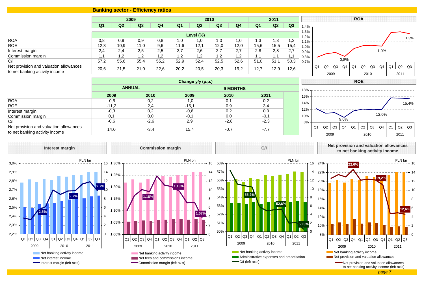## **Banking sector - Efficiency ratios**

|                                                                                |                |                | 2009         |                |                |                | 2010           |              |                | 2011         |              |              |                                       | <b>ROA</b> |                  |    |                  |
|--------------------------------------------------------------------------------|----------------|----------------|--------------|----------------|----------------|----------------|----------------|--------------|----------------|--------------|--------------|--------------|---------------------------------------|------------|------------------|----|------------------|
|                                                                                | Q <sub>1</sub> | Q <sub>2</sub> | Q3           | Q <sub>4</sub> | Q <sub>1</sub> | Q <sub>2</sub> | Q <sub>3</sub> | Q4           | Q <sub>1</sub> | Q2           | Q3           | 1,4%         |                                       |            |                  |    |                  |
|                                                                                |                |                |              |                |                | Level (%)      |                |              |                |              |              | 1,3%<br>1.2% |                                       |            |                  |    |                  |
| <b>ROA</b>                                                                     | 0,8            | 0,9            | 0,9          | 0,8            | 1,0            | 1,0            | 1.0            | 0. ا         | 1,3            | 1,3          | 1,3          | 1.1%         |                                       |            |                  |    | 1,3%             |
| <b>ROE</b>                                                                     | 12,3           | 10,9           | 11.0         | 9,6            | 11,6           | 12,1           | 12,0           | 12,0         | 15,6           | 15,5         | 15,4         | 1,0%         |                                       |            |                  |    |                  |
| Interest margin                                                                | 2.4            | 2.4            | 2,5          | 2,5            | 2,7            | 2,6            | 2.7            | 2.7          | 2,8            | 2,8          | 2,7          | 0,9%         |                                       |            | 1,0%             |    |                  |
| Commission margin                                                              |                | 1,2            | 1,2          | 1,2            | 1,2            | 1,2            | 1,2            | 1,2          | 1.1            |              |              | 0,8%         |                                       |            |                  |    |                  |
| C/<br>Net provision and valuation allowances<br>to net banking activity income | 57,2<br>20,6   | 55,6<br>21,5   | 55,4<br>21,0 | 55,2<br>22,6   | 52,9<br>20,2   | 52,4<br>20,5   | 52,5<br>20,3   | 52,6<br>19,2 | 51,0<br>12,7   | 51,1<br>12,9 | 50,3<br>12,6 | 0.7%         | 0,8%<br>Q1<br>$Q3$ $Q4$<br>Q2<br>2009 | Q1<br>  Q2 | Q3<br>Q4<br>2010 | Q1 | Q3<br>Q2<br>2011 |

|                                                                          |         |               | Change y/y (p.p.) |                 |        |  |
|--------------------------------------------------------------------------|---------|---------------|-------------------|-----------------|--------|--|
|                                                                          |         | <b>ANNUAL</b> |                   | <b>9 MONTHS</b> |        |  |
|                                                                          | 2009    | 2010          | 2009              | 2010            | 2011   |  |
| <b>ROA</b>                                                               | $-0,5$  | 0,2           | $-1,0$            | 0,1             | 0,2    |  |
| <b>ROE</b>                                                               | $-11,2$ | 2,4           | $-15,1$           | 0,9             | 3,4    |  |
| Interest margin                                                          | $-0,3$  | 0,2           | $-0,6$            | 0,2             | 0,0    |  |
| Commission margin                                                        | 0,1     | 0,0           | $-0,1$            | 0,0             | $-0,1$ |  |
| C/I                                                                      | $-0,6$  | $-2,6$        | 2,9               | $-2,8$          | $-2,3$ |  |
| Net provision and valuation allowances<br>to net banking activity income | 14,0    | $-3,4$        | 15,4              | $-0,7$          | $-7,7$ |  |



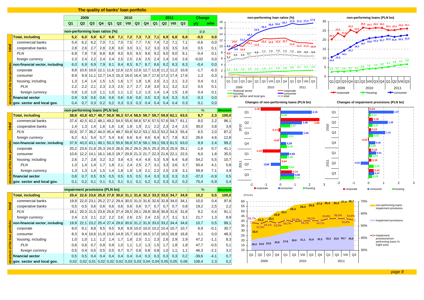| The quality of banks' loan portfolio |                                                                                                           |                                                                                                                                |                                                                                                     |  |  |  |  |  |  |  |  |
|--------------------------------------|-----------------------------------------------------------------------------------------------------------|--------------------------------------------------------------------------------------------------------------------------------|-----------------------------------------------------------------------------------------------------|--|--|--|--|--|--|--|--|
|                                      | 2009<br>2011<br>2010                                                                                      | Change<br>non-performing loan ratios (%)                                                                                       | non-performing loans (PLN bn)                                                                       |  |  |  |  |  |  |  |  |
|                                      | $Q2$ $Q3$<br>Q4<br>Q1<br>Q2<br>VIII $\mid$ Q3 $\mid$ Q4 $\mid$<br>$Q2$ VIII<br>Q3<br>Q1<br>Q <sub>1</sub> | $-17,6$ $-17,2$ $-17,4$ $-17,6$<br>18<br>16.7<br>m/m<br>v/v.<br>16,0 16,4                                                      | 30<br>26,2 26,5 26,5                                                                                |  |  |  |  |  |  |  |  |
|                                      | non-performing loan ratios (%)                                                                            | 15,3<br>16<br>14.3<br>p.p.                                                                                                     | 25                                                                                                  |  |  |  |  |  |  |  |  |
| <b>Total, including</b>              | 7,3<br>5,2<br>7,2<br>7,3<br>7,1<br>6,9<br>6,0<br>5,9<br>6,7<br>6,8<br>7,1<br>6,8<br>6,8                   | 14<br>$-0,5$<br>0,0                                                                                                            |                                                                                                     |  |  |  |  |  |  |  |  |
| commercial banks                     | $\bar{7}, 1$<br>7,5<br>7,7<br>7,2<br>5,4<br>7,0<br>7,5<br>7,6<br>7,4<br>7,1<br>6,2<br>6,2<br>7,1          | $-11$<br>12<br>10,6<br>0,0<br>$12.5$ $12.6$<br>$-0,6$                                                                          | $20,8$ $21,3$ $21,7$ $22,3$ $21,6$ $22,1$<br>20<br>19.7                                             |  |  |  |  |  |  |  |  |
| cooperative banks                    | 2,8<br>2,8<br>3,5<br>2,6<br>2,7<br>2,8<br>3,0<br>3,0<br>3,1<br>3,2<br>3,3<br>3,5<br>3,6                   | $11,8$ - 11,2 $-11,2$ - 10,9<br>10<br>0,5<br>0,1<br>9.9<br>10 <sub>1</sub>                                                     | 15                                                                                                  |  |  |  |  |  |  |  |  |
| <b>PLN</b>                           | 7,9<br>8,8<br>8,8<br>9,5<br>9,5<br>9,5<br>9,2<br>9,0<br>9,1<br>6,9<br>7,8<br>9,6<br>9,0                   | $-6,8 - 7.1 - 7.2 - 7.3 - 7.3 - 7.1 - 6.9$<br>$-6.8$<br>$-6.8$<br>8<br>$-0,4$<br>0,1<br>8,8<br>6.7<br>6.0<br>5.9               |                                                                                                     |  |  |  |  |  |  |  |  |
| foreign currency                     | 2,3<br>2,2<br>2,4<br>2,5<br>2,5<br>2,6<br>2,5<br>2,4<br>2,6<br>2,4<br>2,4<br>2,4<br>2,6                   | 5.2<br>$-0,02$<br>0,0<br>6                                                                                                     | 10<br>12.2                                                                                          |  |  |  |  |  |  |  |  |
| non-financial sector, including      | 6,0<br>6,9<br>7,9<br>8,1<br>8,5<br>8,7<br>8,7<br>8,6<br>8,2<br>8,3<br>8,3<br>6,9<br>8,4                   | $-0,4$<br>0,0<br>$\overline{\mathbf{4}}$                                                                                       | 5.9<br>$2,6$ $2,7$ $2,8$ $3,2$ $3,2$ $3,9$ $4,3$ $4,4$ $4,9$ $5,3$                                  |  |  |  |  |  |  |  |  |
| corporate                            | 8,8<br>10,0<br>$12,1$   11,6 <br>12,6<br>$12,5$ 12,6<br>$12,7$ 11,8 11,2<br>11,2<br>10,9<br>10,6          | $2,1$ $2,1$ $2,2$<br>2,0<br>$1,8$ 1,8<br>$-1.7$<br>1,5<br>1.6<br>1,5<br>1,4<br>$-1,7$<br>$-0,3$<br>1.3<br>1,4<br>$\mathcal{L}$ | 5                                                                                                   |  |  |  |  |  |  |  |  |
| consumer                             | 8,9<br>$9,9$ 11,1<br>$12,7$ 14,3<br>15,3<br>16,0<br>16,7<br>17,6 17,2<br>17,4<br>17,6<br>16,4             | 1,3<br>0,3                                                                                                                     | $\Omega$                                                                                            |  |  |  |  |  |  |  |  |
| housing, including                   | 2,0<br>2,1<br>2,1<br>2,2<br>1,8<br>1,3<br>1,4<br>1,4<br>1,5<br>1,5<br>1,6<br>1,7<br>1,8                   | 0,4<br>0,1<br>Q1   Q2   Q3<br>Q1   Q2   VIII<br>Q3<br>Q1   Q2   VIII   Q3<br>Q4<br>Q4                                          | $Q1 Q2 Q3 Q4 Q1 Q2 VIII Q3 Q4 Q1 Q2 VIII Q3$                                                        |  |  |  |  |  |  |  |  |
| <b>PLN</b>                           | 2,2<br>2,3<br>2,7<br>2,7<br>3,0<br>3,2<br>2,2<br>2,1<br>2,3<br>2,5<br>2,8<br>3,1<br>3,2                   | 0,1<br>0,5<br>2009<br>2010<br>2011                                                                                             | 2009<br>2010<br>2011                                                                                |  |  |  |  |  |  |  |  |
| foreign currency                     | 0,9<br>1,0<br>1,0<br>1,1<br>1,0<br>1,2<br>1,3<br>1,6<br>1,1<br>1,2<br>1,4<br>1,4<br>1,5                   | financial sector<br>corporate<br>0,1<br>0,4<br>housing<br>consumer                                                             | corporate<br>$\rightarrow$ housing<br>consumer                                                      |  |  |  |  |  |  |  |  |
| financial sector                     | 0,9<br>0,6<br>0,6<br>0,6<br>0,5<br>0,3<br>0,3<br>0,3<br>0, 8<br>0.6<br>0,6<br>0,6<br>0,4                  | $\sim$ total<br>gov. sector and local gov.<br>$-0,3$<br>0,0                                                                    |                                                                                                     |  |  |  |  |  |  |  |  |
| gov. sector and local gov.           | 0,4<br>0,2<br>0,3<br>0,3<br>0,7<br>0,3<br>0,2<br>0,3<br> 0,3 <br>0,4<br>0,4<br>0,4<br>0,4                 | Changes of non-performing loans (PLN bn)<br>0,0<br>0,1                                                                         | Changes of impairment provisions (PLN bn)                                                           |  |  |  |  |  |  |  |  |
|                                      | non-performing loans (PLN bn)                                                                             | %<br><b>Structure</b><br>Q <sub>1</sub><br>2,15                                                                                | 0,04<br>Q <sub>1</sub>                                                                              |  |  |  |  |  |  |  |  |
| <b>Total, including</b>              | 38,8 43,8 43,7 49,7 50,9 56,3 57,4 58,5 59,7 59,7 59,9 62,1<br>63,5                                       | 8,7<br>2,3<br>100,0<br>0,06                                                                                                    | 0,14                                                                                                |  |  |  |  |  |  |  |  |
| commercial banks                     | 37,4<br>42,5 42,2 48,1 49,2 54,5 55,6 56,6 57,6 57,5 57,6<br>59,7<br>61,1                                 | 2,2<br>8,0<br>96,1<br>Q2<br>2.68<br>1,48                                                                                       | 0,30 <br>Q2<br>.28                                                                                  |  |  |  |  |  |  |  |  |
| cooperative banks                    | 2,5<br>1.4<br>1,9<br>2,1<br>2,2<br>2,3<br>2,4<br>1,3<br>1.4<br>1.6<br>1,6<br>1,8<br>1,8                   | 2010<br>0.67<br>30,0<br>3,8<br>3,9                                                                                             | 2010<br>0,27                                                                                        |  |  |  |  |  |  |  |  |
| PLN                                  | 32,6<br>37,7<br>$38,2$ 44,0 45,4<br>49,7 50,8 52,0 53,1<br> 53,3 53,2 <br>54,3<br>55,4                    | $-0,13$<br>87,2<br>6,5<br>2,0<br>Q3<br>53                                                                                      | 0,18 <br>Q3<br>12                                                                                   |  |  |  |  |  |  |  |  |
| foreign currency                     | 6,2<br>8,2<br>6,1<br>5,4<br>5,7<br>5,4<br>6,6<br>6,6<br>6,4<br>6,6<br>6,4<br>6,7<br>7,8                   | 0.51<br>4,6<br>12,8<br>26,6                                                                                                    | 0,31<br>$-0,03$                                                                                     |  |  |  |  |  |  |  |  |
| non-financial sector, including      | 37,9<br>43,0 43,1 49,1 50,3 55,6 56,8 57,8 59,1 59,1 59,3 61,5<br>63,0                                    | $-0,02$<br>8,9<br>2,4<br>99,2<br>Q <sub>4</sub><br>0.39                                                                        | Q4                                                                                                  |  |  |  |  |  |  |  |  |
| corporate                            | 25,3 24,0 26,6 26,2 26,5 26,5 25,3 25,3<br>20,2<br>$23,6$ 21,8<br>25,9<br>26,1                            | 0.45<br>0,7<br>$-1,6$<br>41,1                                                                                                  | 0,09<br> 0,18                                                                                       |  |  |  |  |  |  |  |  |
| consumer                             | 19,7<br>$20,8$ 21,3<br>22,3<br>21,6<br>22,5<br>10,6<br>12,2<br>16,1<br>18,3<br>21,7<br>22,1<br>14.1       | Q <sub>1</sub><br>35,5<br>6,0<br>1,8<br>າ  ດ                                                                                   | Q <sub>1</sub><br>0,24                                                                              |  |  |  |  |  |  |  |  |
| housing, including                   | 2,6<br>2,7<br>2,8<br>3,2<br>3,2<br>3,9<br>5,3<br>5,9<br>6,8<br>4,3<br>4,4<br>4,9<br>6,4                   | 0.46<br>54,2<br>5,5<br>10,7<br>0.04                                                                                            | 0.19                                                                                                |  |  |  |  |  |  |  |  |
| <b>PLN</b>                           | 2,4<br>2,5<br>2,7<br>3,1<br>3,3<br>3,7<br>1,7<br>1,8<br>2,1<br>3,6<br>1,3<br>1,4<br>1,4                   | 2011<br>Q2<br>50,4<br>4,1<br>5,8<br>0.54                                                                                       | 201<br>Q2<br>$-0.52$<br>0.35                                                                        |  |  |  |  |  |  |  |  |
| foreign currency                     | 2,1<br>2,5<br>2,9<br>1,5<br>1,9<br>1,9<br>2,2<br>3,1<br>1,3<br>1,3<br>1,4<br>1,4<br>1,8                   | 58,9<br>7,1<br>4,9<br>.79                                                                                                      | n 34<br>Q3<br>0,37                                                                                  |  |  |  |  |  |  |  |  |
| financial sector                     | 0,5<br>0,5<br>0,3<br>0,8<br>0,7<br>0,5<br>0,5<br>0,5<br>0,5<br>0,4<br>0,3<br>0,3<br>0,3                   | Q3<br>1.95<br>$-37,0$<br>$-0,9$<br>0,5                                                                                         | 0.26                                                                                                |  |  |  |  |  |  |  |  |
| gov. sector and local gov.           | 0,2<br>0,1<br>0,2<br>0,1<br>0,1<br>0,1<br>0,1<br> 0,1 <br>0,2<br>0,2<br>0,3<br>0,2<br> 0,1                | 75,4<br>$-5,9$<br>0,4<br>-2<br>$\overline{2}$<br>$-1$<br>$\Omega$                                                              | 3<br>-2<br>$-1$<br>$\Omega$<br>3                                                                    |  |  |  |  |  |  |  |  |
|                                      | impairment provisions (PLN bn)                                                                            | <b>housing</b><br>corporate<br><b>Consumer</b><br>%<br><b>Structure</b>                                                        | corporate<br><b>Consumer</b><br><b>n</b> housing                                                    |  |  |  |  |  |  |  |  |
| <b>Total, including</b>              | $22,6$ 23,6 25,8 27,8 30,0 31,1 31,6 32,3 33,3 33,5 34,7<br>20,4<br>34,9                                  | 10,2<br>0,5<br>100,0<br>(PLN bn)                                                                                               |                                                                                                     |  |  |  |  |  |  |  |  |
| commercial banks                     | $22,0$ 23,1<br>25,2 27,2 29,4 30,5 31,0 31,6 32,6 32,8 34,0<br>34,1<br>19,9                               | 10,0<br>0,4<br>97,8<br>60                                                                                                      | 70%                                                                                                 |  |  |  |  |  |  |  |  |
| cooperative banks                    | 0.5<br>0,6<br>0,7<br>0,7<br>0.7<br>0,8<br>0.5<br>0.6<br>0.6<br>0,6<br>0.6<br>0,6<br>0.7                   | 2,5<br>2,2<br>55<br>19,2                                                                                                       | $26,3$ $26,8$ $27,4$ $26,4$ $26,4$ $27,4$ $28,7$<br>non-performing loans -<br>impairment provisions |  |  |  |  |  |  |  |  |
| PLN                                  | 20, 3   21, 5   23, 6   25, 6   27, 4   28, 5   29, 1   29, 8   30, 8   30, 8   31, 6<br>18,1<br>31,8     | 26,3<br>50<br>9,2<br>0,4<br>91,1<br>23,1                                                                                       | 60%                                                                                                 |  |  |  |  |  |  |  |  |
| foreign currency                     | 2,4<br>2,3<br>2,1<br>2,2<br>2,2<br>2,6<br>2,6<br>2,5<br>2,4<br>2,5<br>2,7<br>3,1<br>3,1                   | 23,9<br>45<br>21,7<br>1,3<br>8,9<br>$52,7\%$ 21,2<br>20,1                                                                      | 56,0%<br>54,9%<br>55.8%                                                                             |  |  |  |  |  |  |  |  |
| non-financial sector, including      | 23,2<br>19,9<br>22,1<br>25.4 27.4<br>29,6 30,6 31,2 31,9 33,0<br>$33,2$ 34,4<br>34.6                      | 40<br>99,1<br>10,7<br>0,5<br>54 1%<br>$\overline{\ }$<br>54,7%<br>54,1% 51.9%                                                  | Impairment provisions<br>55.9%                                                                      |  |  |  |  |  |  |  |  |
| corporate                            | 8,0<br>9,1<br>8,8<br>9,5<br>9,5<br>9,8<br>$9.9$ 10.0 10.0<br>10.2<br>10,7<br>10,7<br> 10.4                | 35<br>51.5%<br>$-0,1$<br>30,7<br>6,9<br>30                                                                                     | 50%                                                                                                 |  |  |  |  |  |  |  |  |
| consumer                             | 8,3<br> 16,0 <br>9,4<br>10,6<br>11,9  13,6 <br>14,9<br>15,7<br>16,5<br>17,0<br>16,5<br>16,8<br>16,8       | 18.4<br>5,1<br>0,0<br>48,3<br>25                                                                                               | O impairment                                                                                        |  |  |  |  |  |  |  |  |
| housing, including                   | 2,3<br>1,8<br>2,0<br>2,1<br>2,6<br>2,9<br>2,9<br>1,0<br>1,0<br>1,2<br>1,7<br>1,1<br>1,4                   | 30,0 31,1 31,6 32,3 33,3 33,5 34,7 34,9<br>8,3<br>47,2<br>$-1,1$<br>20<br>25,8 27,8                                            | 40%<br>provisions/non-<br>performing loans %                                                        |  |  |  |  |  |  |  |  |
| <b>PLN</b>                           | 0,6<br>0,7<br>0,8<br>0,9<br>1,2<br>0,6<br>1,0<br>1,1<br>1,3<br>1,5<br>1,7<br>1,8<br>1,8                   | 20,4 22,6 23,6<br>47,7<br>$-0,5$<br>5,1<br>15                                                                                  | (right axis)                                                                                        |  |  |  |  |  |  |  |  |
| foreign currency                     | 0,5<br>0,5<br>0,7<br>0,8<br>0,8<br>0,4<br>0.5<br>0,5<br>0.7<br>0.8<br>1,0<br>1,1<br>1,1                   | 3,2<br>10<br>46,3<br>$-2,1$                                                                                                    | 30%                                                                                                 |  |  |  |  |  |  |  |  |
| financial sector                     | 0,4<br>0,3<br>0,2<br>0,5<br>0,5<br>0,4<br>0,4<br>0,4<br>0,4<br>0,4<br>0,3<br>0,3<br>0,3                   | Q2<br>Q3<br>Q3<br>Q <sub>4</sub><br>Q <sub>1</sub><br>Q2<br>VIII<br>Q <sub>4</sub><br>Q1<br>0,7<br>$-39,6$<br>$-4,1$           | $Q2$ VIII<br>Q1<br>Q <sub>3</sub>                                                                   |  |  |  |  |  |  |  |  |
| gov. sector and local gov.           | 0,02<br>$0.02$ 0.01 0.02 0.02 0.02 0.03 0.03 0.04 0.04 0.05 0.05<br>0,06                                  | 2009<br>2010<br>108,4<br>2,3<br>0,2                                                                                            | 2011                                                                                                |  |  |  |  |  |  |  |  |
|                                      |                                                                                                           |                                                                                                                                |                                                                                                     |  |  |  |  |  |  |  |  |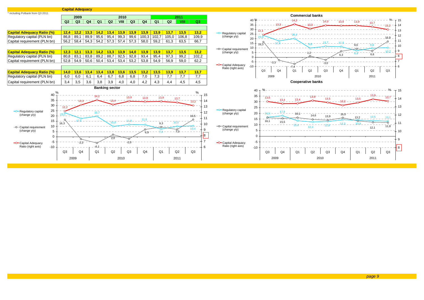